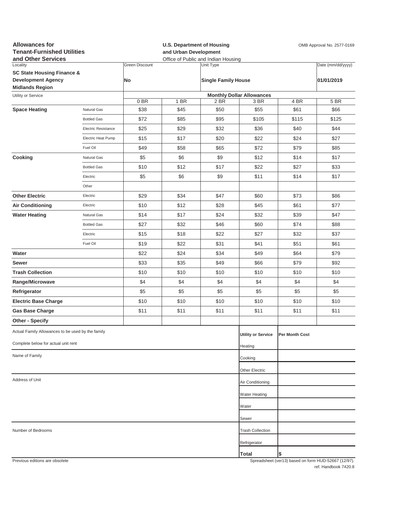| <b>Allowances for</b><br><b>Tenant-Furnished Utilities</b><br>and Other Services |                     |                             | <b>U.S. Department of Housing</b><br>OMB Approval No. 2577-0169<br>and Urban Development<br>Office of Public and Indian Housing |                                         |                           |                |                                                     |  |  |  |
|----------------------------------------------------------------------------------|---------------------|-----------------------------|---------------------------------------------------------------------------------------------------------------------------------|-----------------------------------------|---------------------------|----------------|-----------------------------------------------------|--|--|--|
| Locality<br><b>SC State Housing Finance &amp;</b><br><b>Development Agency</b>   |                     | <b>Green Discount</b><br>No |                                                                                                                                 | Unit Type<br><b>Single Family House</b> |                           |                | Date (mm/dd/yyyy)<br>01/01/2019                     |  |  |  |
| <b>Midlands Region</b>                                                           |                     |                             |                                                                                                                                 |                                         |                           |                |                                                     |  |  |  |
| Utility or Service                                                               |                     | 0 BR                        | <b>Monthly Dollar Allowances</b><br>1 BR<br>2 BR<br>3 BR<br>4 BR                                                                |                                         |                           |                |                                                     |  |  |  |
| <b>Space Heating</b>                                                             | Natural Gas         | \$38                        | \$45                                                                                                                            | \$50                                    | \$55                      | \$61           | 5 BR<br>\$66                                        |  |  |  |
|                                                                                  | <b>Bottled Gas</b>  | \$72                        | \$85                                                                                                                            | \$95                                    | \$105                     | \$115          | \$125                                               |  |  |  |
|                                                                                  | Electric Resistance | \$25                        | \$29                                                                                                                            | \$32                                    | \$36                      | \$40           | \$44                                                |  |  |  |
|                                                                                  | Electric Heat Pump  | \$15                        | \$17                                                                                                                            | \$20                                    | \$22                      | \$24           | \$27                                                |  |  |  |
|                                                                                  | Fuel Oil            | \$49                        | \$58                                                                                                                            | \$65                                    | \$72                      | \$79           | \$85                                                |  |  |  |
| Cooking                                                                          | Natural Gas         | \$5                         | \$6                                                                                                                             | \$9                                     | \$12                      | \$14           | \$17                                                |  |  |  |
|                                                                                  | <b>Bottled Gas</b>  | \$10                        | \$12                                                                                                                            | \$17                                    | \$22                      | \$27           | \$33                                                |  |  |  |
|                                                                                  | Electric            | \$5                         | \$6                                                                                                                             | \$9                                     | \$11                      | \$14           | \$17                                                |  |  |  |
|                                                                                  | Other               |                             |                                                                                                                                 |                                         |                           |                |                                                     |  |  |  |
| <b>Other Electric</b>                                                            | Electric            | \$29                        | \$34                                                                                                                            | \$47                                    | \$60                      | \$73           | \$86                                                |  |  |  |
| <b>Air Conditioning</b>                                                          | Electric            | \$10                        | \$12                                                                                                                            | \$28                                    | \$45                      | \$61           | \$77                                                |  |  |  |
| <b>Water Heating</b>                                                             | Natural Gas         | \$14                        | \$17                                                                                                                            | \$24                                    | \$32                      | \$39           | \$47                                                |  |  |  |
|                                                                                  | <b>Bottled Gas</b>  | \$27                        | \$32                                                                                                                            | \$46                                    | \$60                      | \$74           | \$88                                                |  |  |  |
|                                                                                  | Electric            | \$15                        | \$18                                                                                                                            | \$22                                    | \$27                      | \$32           | \$37                                                |  |  |  |
|                                                                                  | Fuel Oil            | \$19                        | \$22                                                                                                                            | \$31                                    | \$41                      | \$51           | \$61                                                |  |  |  |
| Water                                                                            |                     | \$22                        | \$24                                                                                                                            | \$34                                    | \$49                      | \$64           | \$79                                                |  |  |  |
| Sewer                                                                            |                     | \$33                        | \$35                                                                                                                            | \$49                                    | \$66                      | \$79           | \$92                                                |  |  |  |
| <b>Trash Collection</b>                                                          |                     | \$10                        | \$10                                                                                                                            | \$10                                    | \$10                      | \$10           | \$10                                                |  |  |  |
| Range/Microwave                                                                  |                     | \$4                         | \$4                                                                                                                             | \$4                                     | \$4                       | \$4            | \$4                                                 |  |  |  |
| Refrigerator                                                                     |                     | \$5                         | \$5                                                                                                                             | \$5                                     | \$5                       | \$5            | \$5                                                 |  |  |  |
| <b>Electric Base Charge</b>                                                      |                     | \$10                        | \$10                                                                                                                            | \$10                                    | \$10                      | \$10           | \$10                                                |  |  |  |
| <b>Gas Base Charge</b>                                                           |                     | \$11                        | \$11                                                                                                                            | \$11                                    | \$11                      | \$11           | \$11                                                |  |  |  |
| <b>Other - Specify</b>                                                           |                     |                             |                                                                                                                                 |                                         |                           |                |                                                     |  |  |  |
| Actual Family Allowances to be used by the family                                |                     |                             |                                                                                                                                 |                                         | <b>Utility or Service</b> | Per Month Cost |                                                     |  |  |  |
| Complete below for actual unit rent                                              |                     |                             |                                                                                                                                 |                                         | Heating                   |                |                                                     |  |  |  |
| Name of Family                                                                   |                     |                             |                                                                                                                                 |                                         | Cooking                   |                |                                                     |  |  |  |
|                                                                                  |                     |                             |                                                                                                                                 |                                         | Other Electric            |                |                                                     |  |  |  |
| Address of Unit                                                                  |                     | Air Conditioning            |                                                                                                                                 |                                         |                           |                |                                                     |  |  |  |
|                                                                                  |                     |                             |                                                                                                                                 |                                         | <b>Water Heating</b>      |                |                                                     |  |  |  |
|                                                                                  |                     |                             |                                                                                                                                 |                                         | Water                     |                |                                                     |  |  |  |
|                                                                                  |                     |                             |                                                                                                                                 |                                         | Sewer                     |                |                                                     |  |  |  |
| Number of Bedrooms                                                               |                     |                             |                                                                                                                                 |                                         | <b>Trash Collection</b>   |                |                                                     |  |  |  |
|                                                                                  |                     |                             |                                                                                                                                 |                                         | Refrigerator              |                |                                                     |  |  |  |
|                                                                                  |                     |                             |                                                                                                                                 |                                         |                           |                |                                                     |  |  |  |
| Provinus editions are obsolete                                                   |                     |                             |                                                                                                                                 |                                         | Total                     | \$             | Spreadsheet (yer13) based on form HUD-52667 (12/97) |  |  |  |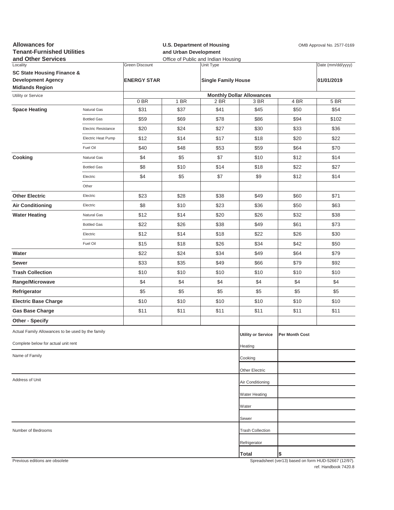| <b>Allowances for</b><br><b>Tenant-Furnished Utilities</b><br>and Other Services |                     | <b>U.S. Department of Housing</b><br>and Urban Development<br>Office of Public and Indian Housing |      |                            |                                  | OMB Approval No. 2577-0169 |                                                     |  |
|----------------------------------------------------------------------------------|---------------------|---------------------------------------------------------------------------------------------------|------|----------------------------|----------------------------------|----------------------------|-----------------------------------------------------|--|
| Locality                                                                         |                     | <b>Green Discount</b>                                                                             |      | Unit Type                  |                                  |                            | Date (mm/dd/yyyy)                                   |  |
| <b>SC State Housing Finance &amp;</b><br><b>Development Agency</b>               |                     | <b>ENERGY STAR</b>                                                                                |      |                            |                                  |                            |                                                     |  |
| <b>Midlands Region</b>                                                           |                     |                                                                                                   |      | <b>Single Family House</b> |                                  |                            | 01/01/2019                                          |  |
| Utility or Service                                                               |                     |                                                                                                   |      |                            | <b>Monthly Dollar Allowances</b> |                            |                                                     |  |
|                                                                                  |                     | 0BR                                                                                               | 1 BR | 2 BR                       | 3 BR                             | 4 BR                       | 5 BR                                                |  |
| <b>Space Heating</b>                                                             | Natural Gas         | \$31                                                                                              | \$37 | \$41                       | \$45                             | \$50                       | \$54                                                |  |
|                                                                                  | <b>Bottled Gas</b>  | \$59                                                                                              | \$69 | \$78                       | \$86                             | \$94                       | \$102                                               |  |
|                                                                                  | Electric Resistance | \$20                                                                                              | \$24 | \$27                       | \$30                             | \$33                       | \$36                                                |  |
|                                                                                  | Electric Heat Pump  | \$12                                                                                              | \$14 | \$17                       | \$18                             | \$20                       | \$22                                                |  |
|                                                                                  | Fuel Oil            | \$40                                                                                              | \$48 | \$53                       | \$59                             | \$64                       | \$70                                                |  |
| Cooking                                                                          | Natural Gas         | \$4                                                                                               | \$5  | \$7                        | \$10                             | \$12                       | \$14                                                |  |
|                                                                                  | <b>Bottled Gas</b>  | \$8                                                                                               | \$10 | \$14                       | \$18                             | \$22                       | \$27                                                |  |
|                                                                                  | Electric            | \$4                                                                                               | \$5  | \$7                        | \$9                              | \$12                       | \$14                                                |  |
|                                                                                  | Other               |                                                                                                   |      |                            |                                  |                            |                                                     |  |
| <b>Other Electric</b>                                                            | Electric            | \$23                                                                                              | \$28 | \$38                       | \$49                             | \$60                       | \$71                                                |  |
| <b>Air Conditioning</b>                                                          | Electric            | \$8                                                                                               | \$10 | \$23                       | \$36                             | \$50                       | \$63                                                |  |
| <b>Water Heating</b>                                                             | Natural Gas         | \$12                                                                                              | \$14 | \$20                       | \$26                             | \$32                       | \$38                                                |  |
|                                                                                  | <b>Bottled Gas</b>  | \$22                                                                                              | \$26 | \$38                       | \$49                             | \$61                       | \$73                                                |  |
|                                                                                  | Electric            | \$12                                                                                              | \$14 | \$18                       | \$22                             | \$26                       | \$30                                                |  |
|                                                                                  | Fuel Oil            | \$15                                                                                              | \$18 | \$26                       | \$34                             | \$42                       | \$50                                                |  |
| Water                                                                            |                     | \$22                                                                                              | \$24 | \$34                       | \$49                             | \$64                       | \$79                                                |  |
| Sewer                                                                            |                     | \$33                                                                                              | \$35 | \$49                       | \$66                             | \$79                       | \$92                                                |  |
| <b>Trash Collection</b>                                                          |                     | \$10                                                                                              | \$10 | \$10                       | \$10                             | \$10                       | \$10                                                |  |
| Range/Microwave                                                                  |                     | \$4                                                                                               | \$4  | \$4                        | \$4                              | \$4                        | \$4                                                 |  |
| Refrigerator                                                                     |                     | \$5                                                                                               | \$5  | \$5                        | \$5                              | \$5                        | \$5                                                 |  |
| <b>Electric Base Charge</b>                                                      |                     | \$10                                                                                              | \$10 | \$10                       | \$10                             | \$10                       | \$10                                                |  |
| <b>Gas Base Charge</b>                                                           |                     | \$11                                                                                              | \$11 | \$11                       | \$11                             | \$11                       | \$11                                                |  |
| Other - Specify                                                                  |                     |                                                                                                   |      |                            |                                  |                            |                                                     |  |
| Actual Family Allowances to be used by the family                                |                     |                                                                                                   |      |                            |                                  |                            |                                                     |  |
| Complete below for actual unit rent                                              |                     |                                                                                                   |      |                            | <b>Utility or Service</b>        | Per Month Cost             |                                                     |  |
|                                                                                  |                     |                                                                                                   |      |                            | Heating                          |                            |                                                     |  |
| Name of Family                                                                   |                     |                                                                                                   |      |                            | Cooking                          |                            |                                                     |  |
|                                                                                  |                     |                                                                                                   |      |                            | Other Electric                   |                            |                                                     |  |
| Address of Unit                                                                  |                     |                                                                                                   |      |                            | Air Conditioning                 |                            |                                                     |  |
|                                                                                  |                     |                                                                                                   |      |                            | <b>Water Heating</b>             |                            |                                                     |  |
|                                                                                  |                     |                                                                                                   |      |                            | Water                            |                            |                                                     |  |
|                                                                                  |                     |                                                                                                   |      |                            | Sewer                            |                            |                                                     |  |
|                                                                                  |                     |                                                                                                   |      |                            |                                  |                            |                                                     |  |
| Number of Bedrooms                                                               |                     |                                                                                                   |      |                            | <b>Trash Collection</b>          |                            |                                                     |  |
|                                                                                  |                     |                                                                                                   |      |                            | Refrigerator                     |                            |                                                     |  |
| Previous editions are obsolete                                                   |                     |                                                                                                   |      |                            | Total                            |                            | Spreadsheet (ver13) based on form HUD-52667 (12/97) |  |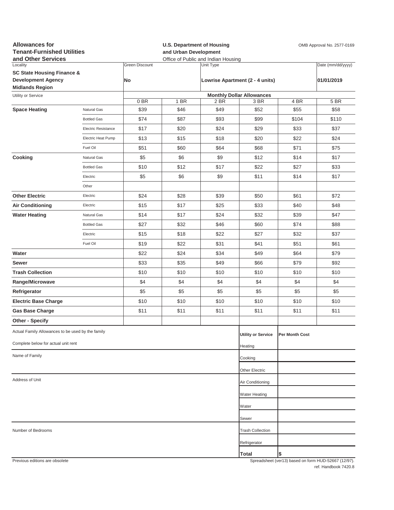| <b>Allowances for</b><br><b>Tenant-Furnished Utilities</b><br>and Other Services |                            |                             | <b>U.S. Department of Housing</b><br>and Urban Development<br>Office of Public and Indian Housing |           |                                          |                | OMB Approval No. 2577-0169                          |
|----------------------------------------------------------------------------------|----------------------------|-----------------------------|---------------------------------------------------------------------------------------------------|-----------|------------------------------------------|----------------|-----------------------------------------------------|
| Locality<br><b>SC State Housing Finance &amp;</b><br><b>Development Agency</b>   |                            | Green Discount<br><b>No</b> |                                                                                                   | Unit Type | Lowrise Apartment (2 - 4 units)          |                | Date (mm/dd/yyyy)<br>01/01/2019                     |
| <b>Midlands Region</b>                                                           |                            |                             |                                                                                                   |           |                                          |                |                                                     |
| Utility or Service                                                               |                            | 0BR                         | 1 BR                                                                                              | 2 BR      | <b>Monthly Dollar Allowances</b><br>3 BR | 4 BR           | 5 BR                                                |
| <b>Space Heating</b>                                                             | Natural Gas                | \$39                        | \$46                                                                                              | \$49      | \$52                                     | \$55           | \$58                                                |
|                                                                                  | <b>Bottled Gas</b>         | \$74                        | \$87                                                                                              | \$93      | \$99                                     | \$104          | \$110                                               |
|                                                                                  | <b>Electric Resistance</b> | \$17                        | \$20                                                                                              | \$24      | \$29                                     | \$33           | \$37                                                |
|                                                                                  | Electric Heat Pump         | \$13                        | \$15                                                                                              | \$18      | \$20                                     | \$22           | \$24                                                |
|                                                                                  | Fuel Oil                   | \$51                        | \$60                                                                                              | \$64      | \$68                                     | \$71           | \$75                                                |
| Cooking                                                                          | Natural Gas                | \$5                         | \$6                                                                                               | \$9       | \$12                                     | \$14           | \$17                                                |
|                                                                                  | <b>Bottled Gas</b>         | \$10                        | \$12                                                                                              | \$17      | \$22                                     | \$27           | \$33                                                |
|                                                                                  | Electric                   | \$5                         | \$6                                                                                               | \$9       | \$11                                     | \$14           | \$17                                                |
|                                                                                  | Other                      |                             |                                                                                                   |           |                                          |                |                                                     |
| <b>Other Electric</b>                                                            | Electric                   | \$24                        | \$28                                                                                              | \$39      | \$50                                     | \$61           | \$72                                                |
| <b>Air Conditioning</b>                                                          | Electric                   | \$15                        | \$17                                                                                              | \$25      | \$33                                     | \$40           | \$48                                                |
| <b>Water Heating</b>                                                             | Natural Gas                | \$14                        | \$17                                                                                              | \$24      | \$32                                     | \$39           | \$47                                                |
|                                                                                  | <b>Bottled Gas</b>         | \$27                        | \$32                                                                                              | \$46      | \$60                                     | \$74           | \$88                                                |
|                                                                                  | Electric                   | \$15                        | \$18                                                                                              | \$22      | \$27                                     | \$32           | \$37                                                |
|                                                                                  | Fuel Oil                   | \$19                        | \$22                                                                                              | \$31      | \$41                                     | \$51           | \$61                                                |
| Water                                                                            |                            | \$22                        | \$24                                                                                              | \$34      | \$49                                     | \$64           | \$79                                                |
| Sewer                                                                            |                            | \$33                        | \$35                                                                                              | \$49      | \$66                                     | \$79           | \$92                                                |
| <b>Trash Collection</b>                                                          |                            | \$10                        | \$10                                                                                              | \$10      | \$10                                     | \$10           | \$10                                                |
| Range/Microwave                                                                  |                            | \$4                         | \$4                                                                                               | \$4       | \$4                                      | \$4            | \$4                                                 |
| Refrigerator                                                                     |                            | \$5                         | \$5                                                                                               | \$5       | \$5                                      | \$5            | \$5                                                 |
| <b>Electric Base Charge</b>                                                      |                            | \$10                        | \$10                                                                                              | \$10      | \$10                                     | \$10           | \$10                                                |
| <b>Gas Base Charge</b>                                                           |                            | \$11                        | \$11                                                                                              | \$11      | \$11                                     | \$11           | \$11                                                |
| Other - Specify                                                                  |                            |                             |                                                                                                   |           |                                          |                |                                                     |
| Actual Family Allowances to be used by the family                                |                            |                             |                                                                                                   |           | <b>Utility or Service</b>                | Per Month Cost |                                                     |
| Complete below for actual unit rent                                              |                            |                             |                                                                                                   |           | Heating                                  |                |                                                     |
| Name of Family                                                                   |                            |                             |                                                                                                   |           | Cooking                                  |                |                                                     |
|                                                                                  |                            |                             |                                                                                                   |           | Other Electric                           |                |                                                     |
| Address of Unit                                                                  |                            |                             |                                                                                                   |           | Air Conditioning                         |                |                                                     |
|                                                                                  |                            |                             |                                                                                                   |           | Water Heating                            |                |                                                     |
|                                                                                  |                            |                             |                                                                                                   |           | Water                                    |                |                                                     |
|                                                                                  |                            |                             |                                                                                                   |           |                                          |                |                                                     |
|                                                                                  |                            |                             |                                                                                                   |           | Sewer                                    |                |                                                     |
| Number of Bedrooms                                                               |                            |                             |                                                                                                   |           | <b>Trash Collection</b>                  |                |                                                     |
|                                                                                  |                            |                             |                                                                                                   |           | Refrigerator                             |                |                                                     |
| Previous editions are obsolete                                                   |                            |                             |                                                                                                   |           | <b>Total</b>                             | \$             | Spreadsheet (ver13) hased on form HUD-52667 (12/97) |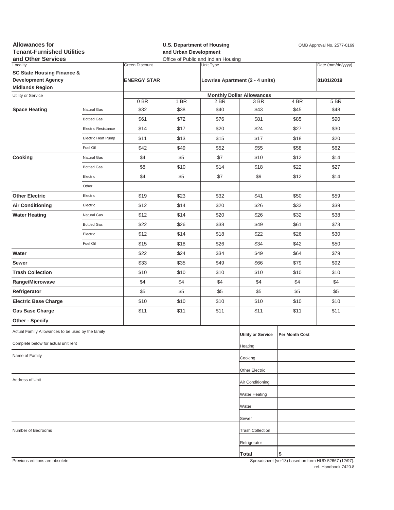| <b>Allowances for</b><br><b>Tenant-Furnished Utilities</b> |                     | <b>U.S. Department of Housing</b><br>and Urban Development<br>Office of Public and Indian Housing |                    |           |                                  | OMB Approval No. 2577-0169 |                                                      |
|------------------------------------------------------------|---------------------|---------------------------------------------------------------------------------------------------|--------------------|-----------|----------------------------------|----------------------------|------------------------------------------------------|
| and Other Services<br>Locality                             |                     | <b>Green Discount</b>                                                                             |                    | Unit Type |                                  |                            | Date (mm/dd/yyyy)                                    |
| <b>SC State Housing Finance &amp;</b>                      |                     |                                                                                                   |                    |           |                                  |                            |                                                      |
| <b>Development Agency</b><br><b>Midlands Region</b>        |                     |                                                                                                   | <b>ENERGY STAR</b> |           | Lowrise Apartment (2 - 4 units)  |                            | 01/01/2019                                           |
| Utility or Service                                         |                     |                                                                                                   |                    |           | <b>Monthly Dollar Allowances</b> |                            |                                                      |
|                                                            |                     | 0 BR                                                                                              | 1 BR               | 2 BR      | 3 BR                             | 4 BR                       | 5 BR                                                 |
| <b>Space Heating</b>                                       | Natural Gas         | \$32                                                                                              | \$38               | \$40      | \$43                             | \$45                       | \$48                                                 |
|                                                            | <b>Bottled Gas</b>  | \$61                                                                                              | \$72               | \$76      | \$81                             | \$85                       | \$90                                                 |
|                                                            | Electric Resistance | \$14                                                                                              | \$17               | \$20      | \$24                             | \$27                       | \$30                                                 |
|                                                            | Electric Heat Pump  | \$11                                                                                              | \$13               | \$15      | \$17                             | \$18                       | \$20                                                 |
|                                                            | Fuel Oil            | \$42                                                                                              | \$49               | \$52      | \$55                             | \$58                       | \$62                                                 |
| Cooking                                                    | Natural Gas         | \$4                                                                                               | \$5                | \$7       | \$10                             | \$12                       | \$14                                                 |
|                                                            | <b>Bottled Gas</b>  | \$8                                                                                               | \$10               | \$14      | \$18                             | \$22                       | \$27                                                 |
|                                                            | Electric            | \$4                                                                                               | \$5                | \$7       | \$9                              | \$12                       | \$14                                                 |
|                                                            | Other               |                                                                                                   |                    |           |                                  |                            |                                                      |
| <b>Other Electric</b>                                      | Electric            | \$19                                                                                              | \$23               | \$32      | \$41                             | \$50                       | \$59                                                 |
| <b>Air Conditioning</b>                                    | Electric            | \$12                                                                                              | \$14               | \$20      | \$26                             | \$33                       | \$39                                                 |
| <b>Water Heating</b>                                       | Natural Gas         | \$12                                                                                              | \$14               | \$20      | \$26                             | \$32                       | \$38                                                 |
|                                                            | <b>Bottled Gas</b>  | \$22                                                                                              | \$26               | \$38      | \$49                             | \$61                       | \$73                                                 |
|                                                            | Electric            | \$12                                                                                              | \$14               | \$18      | \$22                             | \$26                       | \$30                                                 |
|                                                            | Fuel Oil            | \$15                                                                                              | \$18               | \$26      | \$34                             | \$42                       | \$50                                                 |
| Water                                                      |                     | \$22                                                                                              | \$24               | \$34      | \$49                             | \$64                       | \$79                                                 |
| Sewer                                                      |                     | \$33                                                                                              | \$35               | \$49      | \$66                             | \$79                       | \$92                                                 |
| <b>Trash Collection</b>                                    |                     | \$10                                                                                              | \$10               | \$10      | \$10                             | \$10                       | \$10                                                 |
| Range/Microwave                                            |                     | \$4                                                                                               | \$4                | \$4       | \$4                              | \$4                        | \$4                                                  |
| Refrigerator                                               |                     | \$5                                                                                               | \$5                | \$5       | \$5                              | \$5                        | \$5                                                  |
| <b>Electric Base Charge</b>                                |                     | \$10                                                                                              | \$10               | \$10      | \$10                             | \$10                       | \$10                                                 |
| <b>Gas Base Charge</b>                                     |                     | \$11                                                                                              | \$11               | \$11      | \$11                             | \$11                       | \$11                                                 |
| Other - Specify                                            |                     |                                                                                                   |                    |           |                                  |                            |                                                      |
| Actual Family Allowances to be used by the family          |                     |                                                                                                   |                    |           | <b>Utility or Service</b>        | Per Month Cost             |                                                      |
| Complete below for actual unit rent                        |                     |                                                                                                   |                    |           | Heating                          |                            |                                                      |
| Name of Family                                             |                     |                                                                                                   |                    |           | Cooking                          |                            |                                                      |
|                                                            |                     |                                                                                                   |                    |           | Other Electric                   |                            |                                                      |
| Address of Unit                                            |                     |                                                                                                   |                    |           | Air Conditioning                 |                            |                                                      |
|                                                            |                     |                                                                                                   |                    |           | Water Heating                    |                            |                                                      |
|                                                            |                     |                                                                                                   |                    |           | Water                            |                            |                                                      |
|                                                            |                     |                                                                                                   |                    |           | Sewer                            |                            |                                                      |
| Number of Bedrooms                                         |                     |                                                                                                   |                    |           | <b>Trash Collection</b>          |                            |                                                      |
|                                                            |                     |                                                                                                   |                    |           | Refrigerator                     |                            |                                                      |
|                                                            |                     |                                                                                                   |                    |           | Total                            | \$                         |                                                      |
| Previous editions are obsolete                             |                     |                                                                                                   |                    |           |                                  |                            | Spreadsheet (ver13) based on form HUD-52667 (12/97). |

ref. Handbook 7420.8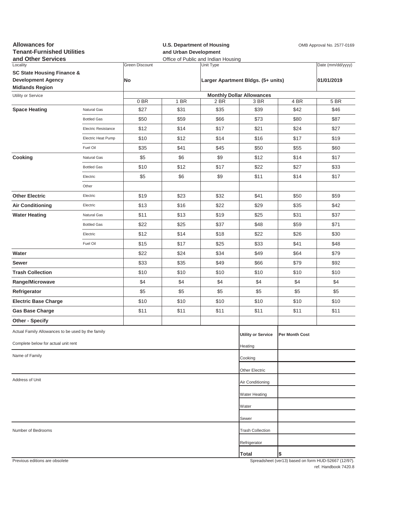| <b>Allowances for</b><br><b>Tenant-Furnished Utilities</b><br>and Other Services |                     |                | and Urban Development            | <b>U.S. Department of Housing</b><br>Office of Public and Indian Housing | OMB Approval No. 2577-0169         |                |                                                     |  |  |  |
|----------------------------------------------------------------------------------|---------------------|----------------|----------------------------------|--------------------------------------------------------------------------|------------------------------------|----------------|-----------------------------------------------------|--|--|--|
| Locality                                                                         |                     | Green Discount |                                  | Unit Type                                                                |                                    |                | Date (mm/dd/yyyy)                                   |  |  |  |
| <b>SC State Housing Finance &amp;</b>                                            |                     |                |                                  |                                                                          |                                    |                |                                                     |  |  |  |
| <b>Development Agency</b><br><b>Midlands Region</b>                              |                     | No             |                                  |                                                                          | Larger Apartment Bldgs. (5+ units) |                | 01/01/2019                                          |  |  |  |
| Utility or Service                                                               |                     |                | <b>Monthly Dollar Allowances</b> |                                                                          |                                    |                |                                                     |  |  |  |
|                                                                                  |                     | 0BR            | 1 BR                             | 2 BR                                                                     | 3 BR                               | 4 BR           | 5 BR                                                |  |  |  |
| <b>Space Heating</b>                                                             | Natural Gas         | \$27           | \$31                             | \$35                                                                     | \$39                               | \$42           | \$46                                                |  |  |  |
|                                                                                  | <b>Bottled Gas</b>  | \$50           | \$59                             | \$66                                                                     | \$73                               | \$80           | \$87                                                |  |  |  |
|                                                                                  | Electric Resistance | \$12           | \$14                             | \$17                                                                     | \$21                               | \$24           | \$27                                                |  |  |  |
|                                                                                  | Electric Heat Pump  | \$10           | \$12                             | \$14                                                                     | \$16                               | \$17           | \$19                                                |  |  |  |
|                                                                                  | Fuel Oil            | \$35           | \$41                             | \$45                                                                     | \$50                               | \$55           | \$60                                                |  |  |  |
| Cooking                                                                          | Natural Gas         | \$5            | \$6                              | \$9                                                                      | \$12                               | \$14           | \$17                                                |  |  |  |
|                                                                                  | <b>Bottled Gas</b>  | \$10           | \$12                             | \$17                                                                     | \$22                               | \$27           | \$33                                                |  |  |  |
|                                                                                  | Electric            | \$5            | \$6                              | \$9                                                                      | \$11                               | \$14           | \$17                                                |  |  |  |
|                                                                                  | Other               |                |                                  |                                                                          |                                    |                |                                                     |  |  |  |
| <b>Other Electric</b>                                                            | Electric            | \$19           | \$23                             | \$32                                                                     | \$41                               | \$50           | \$59                                                |  |  |  |
| <b>Air Conditioning</b>                                                          | Electric            | \$13           | \$16                             | \$22                                                                     | \$29                               | \$35           | \$42                                                |  |  |  |
| <b>Water Heating</b>                                                             | Natural Gas         | \$11           | \$13                             | \$19                                                                     | \$25                               | \$31           | \$37                                                |  |  |  |
|                                                                                  | <b>Bottled Gas</b>  | \$22           | \$25                             | \$37                                                                     | \$48                               | \$59           | \$71                                                |  |  |  |
|                                                                                  | Electric            | \$12           | \$14                             | \$18                                                                     | \$22                               | \$26           | \$30                                                |  |  |  |
|                                                                                  | Fuel Oil            | \$15           | \$17                             | \$25                                                                     | \$33                               | \$41           | \$48                                                |  |  |  |
| Water                                                                            |                     | \$22           | \$24                             | \$34                                                                     | \$49                               | \$64           | \$79                                                |  |  |  |
| Sewer                                                                            |                     | \$33           | \$35                             | \$49                                                                     | \$66                               | \$79           | \$92                                                |  |  |  |
| <b>Trash Collection</b>                                                          |                     | \$10           | \$10                             | \$10                                                                     | \$10                               | \$10           | \$10                                                |  |  |  |
| Range/Microwave                                                                  |                     | \$4            | \$4                              | \$4                                                                      | \$4                                | \$4            | \$4                                                 |  |  |  |
| Refrigerator                                                                     |                     | \$5            | \$5                              | \$5                                                                      | \$5                                | \$5            | \$5                                                 |  |  |  |
| <b>Electric Base Charge</b>                                                      |                     | \$10           | \$10                             | \$10                                                                     | \$10                               | \$10           | \$10                                                |  |  |  |
| <b>Gas Base Charge</b>                                                           |                     | \$11           | \$11                             | \$11                                                                     | \$11                               | \$11           | \$11                                                |  |  |  |
| <b>Other - Specify</b>                                                           |                     |                |                                  |                                                                          |                                    |                |                                                     |  |  |  |
| Actual Family Allowances to be used by the family                                |                     |                |                                  |                                                                          | <b>Utility or Service</b>          | Per Month Cost |                                                     |  |  |  |
| Complete below for actual unit rent                                              |                     |                |                                  |                                                                          | Heating                            |                |                                                     |  |  |  |
| Name of Family                                                                   |                     |                |                                  |                                                                          | Cooking                            |                |                                                     |  |  |  |
|                                                                                  |                     |                |                                  |                                                                          | Other Electric                     |                |                                                     |  |  |  |
| Address of Unit                                                                  |                     |                |                                  |                                                                          | Air Conditioning                   |                |                                                     |  |  |  |
|                                                                                  |                     |                |                                  |                                                                          | <b>Water Heating</b>               |                |                                                     |  |  |  |
|                                                                                  |                     |                |                                  |                                                                          | Water                              |                |                                                     |  |  |  |
|                                                                                  |                     |                |                                  |                                                                          | Sewer                              |                |                                                     |  |  |  |
| Number of Bedrooms                                                               |                     |                |                                  |                                                                          | <b>Trash Collection</b>            |                |                                                     |  |  |  |
|                                                                                  |                     |                |                                  |                                                                          | Refrigerator                       |                |                                                     |  |  |  |
|                                                                                  |                     |                |                                  |                                                                          | Total                              | \$             |                                                     |  |  |  |
| Previous editions are obsolete                                                   |                     |                |                                  |                                                                          |                                    |                | Spreadsheet (ver13) hased on form HUD-52667 (12/97) |  |  |  |